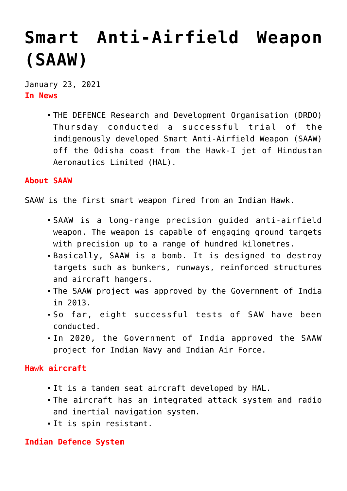# **[Smart Anti-Airfield Weapon](https://journalsofindia.com/smart-anti-airfield-weapon-saaw/) [\(SAAW\)](https://journalsofindia.com/smart-anti-airfield-weapon-saaw/)**

January 23, 2021 **In News**

> THE DEFENCE Research and Development Organisation (DRDO) Thursday conducted a successful trial of the indigenously developed Smart Anti-Airfield Weapon (SAAW) off the Odisha coast from the Hawk-I jet of Hindustan Aeronautics Limited (HAL).

#### **About SAAW**

SAAW is the first smart weapon fired from an Indian Hawk.

- SAAW is a long-range precision guided anti-airfield weapon. The weapon is capable of engaging ground targets with precision up to a range of hundred kilometres.
- Basically, SAAW is a bomb. It is designed to destroy targets such as bunkers, runways, reinforced structures and aircraft hangers.
- The SAAW project was approved by the Government of India in 2013.
- So far, eight successful tests of SAW have been conducted.
- In 2020, the Government of India approved the SAAW project for Indian Navy and Indian Air Force.

## **Hawk aircraft**

- It is a tandem seat aircraft developed by HAL.
- The aircraft has an integrated attack system and radio and inertial navigation system.
- It is spin resistant.

#### **Indian Defence System**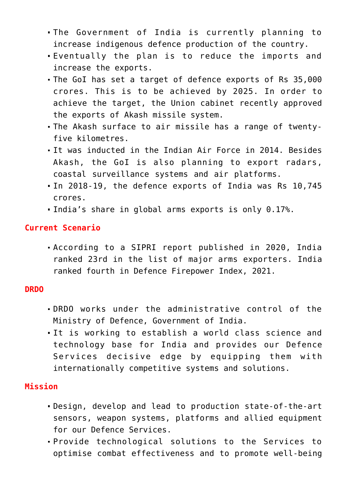- The Government of India is currently planning to increase indigenous defence production of the country.
- Eventually the plan is to reduce the imports and increase the exports.
- The GoI has set a target of defence exports of Rs 35,000 crores. This is to be achieved by 2025. In order to achieve the target, the Union cabinet recently approved the exports of Akash missile system.
- The Akash surface to air missile has a range of twentyfive kilometres.
- It was inducted in the Indian Air Force in 2014. Besides Akash, the GoI is also planning to export radars, coastal surveillance systems and air platforms.
- In 2018-19, the defence exports of India was Rs 10,745 crores.
- India's share in global arms exports is only 0.17%.

#### **Current Scenario**

According to a SIPRI report published in 2020, India ranked 23rd in the list of major arms exporters. India ranked fourth in Defence Firepower Index, 2021.

## **DRDO**

- DRDO works under the administrative control of the Ministry of Defence, Government of India.
- It is working to establish a world class science and technology base for India and provides our Defence Services decisive edge by equipping them with internationally competitive systems and solutions.

## **Mission**

- Design, develop and lead to production state-of-the-art sensors, weapon systems, platforms and allied equipment for our Defence Services.
- Provide technological solutions to the Services to optimise combat effectiveness and to promote well-being